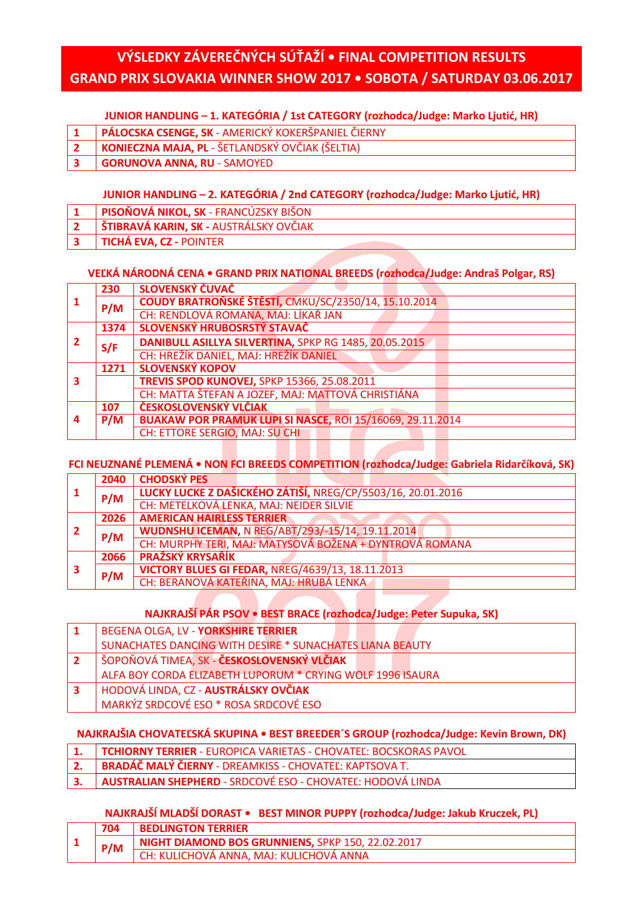# **VÝSLEDKY ZÁVEREČNÝCH SÚŤAŽÍ • FINAL COMPETITION RESULTS GRAND PRIX SLOVAKIA WINNER SHOW 2017 • SOBOTA / SATURDAY 03.06.2017**

#### **JUNIOR HANDLING – 1. KATEGÓRIA / 1st CATEGORY (rozhodca/Judge: Marko Ljutić, HR)**

- **1 PÁLOCSKA CSENGE, SK** AMERICKÝ KOKERŠPANIEL ČIERNY
- **2 KONIECZNA MAJA, PL** ŠETLANDSKÝ OVČIAK (ŠELTIA)
- **3 GORUNOVA ANNA, RU** SAMOYED

#### **JUNIOR HANDLING – 2. KATEGÓRIA / 2nd CATEGORY (rozhodca/Judge: Marko Ljutić, HR)**

- **1 PISOŇOVÁ NIKOL, SK** FRANCÚZSKY BIŠON
- **2 ŠTIBRAVÁ KARIN, SK -** AUSTRÁLSKY OVČIAK
- **3 TICHÁ EVA, CZ -** POINTER

#### **VEĽKÁ NÁRODNÁ CENA • GRAND PRIX NATIONAL BREEDS (rozhodca/Judge: Andraš Polgar, RS)**

| $\mathbf{1}$   | 230  | SLOVENSKÝ ČUVAČ                                                  |
|----------------|------|------------------------------------------------------------------|
|                | P/M  | COUDY BRATROŇSKÉ ŠTĚSTÍ, CMKU/SC/2350/14, 15.10.2014             |
|                |      | CH: RENDLOVÁ ROMANA, MAJ: LÍKAŘ JAN                              |
|                | 1374 | SLOVENSKÝ HRUBOSRSTÝ STAVAČ                                      |
| $\overline{2}$ | S/F  | DANIBULL ASILLYA SILVERTINA, SPKP RG 1485, 20.05.2015            |
|                |      | CH: HREŽÍK DANIEL, MAJ: HREŽÍK DANIEL                            |
|                | 1271 | <b>SLOVENSKÝ KOPOV</b>                                           |
| 3              |      | <b>TREVIS SPOD KUNOVEJ, SPKP 15366, 25.08.2011</b>               |
|                |      | CH: MATTA ŠTEFAN A JOZEF, MAJ: MATTOVÁ CHRISTIÁNA                |
| $\overline{a}$ | 107  | ČESKOSLOVENSKÝ VLČIAK                                            |
|                | P/M  | <b>BUAKAW POR PRAMUK LUPI SI NASCE, ROI 15/16069, 29.11.2014</b> |
|                |      | <b>CH: ETTORE SERGIO, MAJ: SU CHI</b>                            |

#### **FCI NEUZNANÉ PLEMENÁ • NON FCI BREEDS COMPETITION (rozhodca/Judge: Gabriela Ridarčíková, SK)**

|   | 2040 | <b>CHODSKÝ PES</b>                                          |
|---|------|-------------------------------------------------------------|
|   | P/M  | LUCKY LUCKE Z DAŠICKÉHO ZÁTIŠÍ, NREG/CP/5503/16, 20.01.2016 |
|   |      | CH: METELKOVÁ LENKA, MAJ: NEIDER SILVIE                     |
|   | 2026 | <b>AMERICAN HAIRLESS TERRIER</b>                            |
|   | P/M  | <b>WUDNSHU ICEMAN, N REG/ABT/293/-15/14, 19.11.2014</b>     |
|   |      | CH: MURPHY TERI, MAJ: MATYSOVÁ BOŽENA + DYNTROVÁ ROMANA     |
| 3 | 2066 | <b>PRAŽSKÝ KRYSAŘÍK</b>                                     |
|   | P/M  | <b>VICTORY BLUES GI FEDAR, NREG/4639/13, 18.11.2013</b>     |
|   |      | CH: BERANOVÁ KATEŘINA, MAJ: HRUBÁ LENKA                     |

#### **NAJKRAJŠÍ PÁR PSOV • BEST BRACE (rozhodca/Judge: Peter Supuka, SK)**

|                | BEGENA OLGA, LV - YORKSHIRE TERRIER                             |
|----------------|-----------------------------------------------------------------|
|                | <b>SUNACHATES DANCING WITH DESIRE * SUNACHATES LIANA BEAUTY</b> |
| $\overline{2}$ | ŠOPOŇOVÁ TIMEA, SK - ČESKOSLOVENSKÝ VLČIAK                      |
|                | ALFA BOY CORDA ELIZABETH LUPORUM * CRYING WOLF 1996 ISAURA      |
| 3              | HODOVÁ LINDA, CZ - <b>AUSTRÁLSKY OVČIAK</b>                     |
|                | MARKÝZ SRDCOVÉ ESO * ROSA SRDCOVÉ ESO                           |

#### **NAJKRAJŠIA CHOVATEĽSKÁ SKUPINA • BEST BREEDER´S GROUP (rozhodca/Judge: Kevin Brown, DK)**

|  | 1. TCHIORNY TERRIER - EUROPICA VARIETAS - CHOVATEĽ: BOCSKORAS PAVOL |  |  |  |
|--|---------------------------------------------------------------------|--|--|--|
|--|---------------------------------------------------------------------|--|--|--|

- **2. BRADÁČ MALÝ ČIERNY** DREAMKISS CHOVATEĽ: KAPTSOVA T.
- **3. AUSTRALIAN SHEPHERD**  SRDCOVÉ ESO CHOVATEĽ: HODOVÁ LINDA

#### **NAJKRAJŠÍ MLADŠÍ DORAST • BEST MINOR PUPPY (rozhodca/Judge: Jakub Kruczek, PL)**

|  |            | <b>BEDLINGTON TERRIER</b>                         |
|--|------------|---------------------------------------------------|
|  | <b>PIN</b> | NIGHT DIAMOND BOS GRUNNIENS, SPKP 150, 22.02.2017 |
|  |            | CH: KULICHOVA ANNA, MAJ: KULICHOVÁ ANNA           |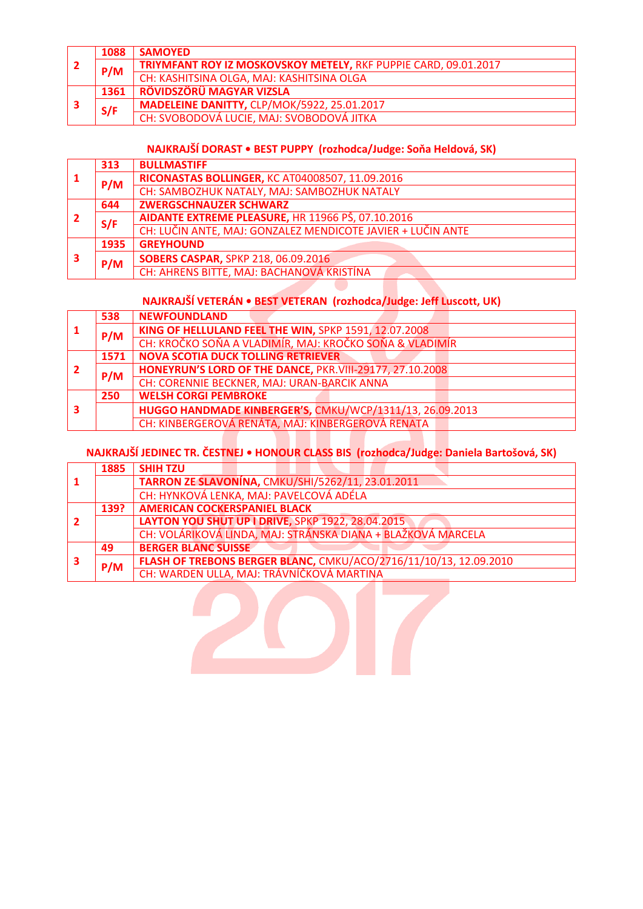| l 2 | 1088 | <b>SAMOYED</b>                                                  |
|-----|------|-----------------------------------------------------------------|
|     | P/M  | TRIYMFANT ROY IZ MOSKOVSKOY METELY, RKF PUPPIE CARD, 09.01.2017 |
|     |      | CH: KASHITSINA OLGA, MAJ: KASHITSINA OLGA                       |
| 3   | 1361 | RÖVIDSZÖRÜ MAGYAR VIZSLA                                        |
|     | S/F  | MADELEINE DANITTY, CLP/MOK/5922, 25.01.2017                     |
|     |      | CH: SVOBODOVÁ LUCIE, MAJ: SVOBODOVÁ JITKA                       |

## **NAJKRAJŠÍ DORAST • BEST PUPPY (rozhodca/Judge: Soňa Heldová, SK)**

| 1    | 313  | <b>BULLMASTIFF</b>                                          |
|------|------|-------------------------------------------------------------|
|      | P/M  | RICONASTAS BOLLINGER, KC AT04008507, 11.09.2016             |
|      |      | CH: SAMBOZHUK NATALY, MAJ: SAMBOZHUK NATALY                 |
|      | 644  | <b>ZWERGSCHNAUZER SCHWARZ</b>                               |
| ⊩ 2⊦ | S/F  | AIDANTE EXTREME PLEASURE, HR 11966 PŠ, 07.10.2016           |
|      |      | CH: LUČIN ANTE, MAJ: GONZALEZ MENDICOTE JAVIER + LUČIN ANTE |
| 3    | 1935 | <b>GREYHOUND</b>                                            |
|      | P/M  | <b>SOBERS CASPAR, SPKP 218, 06.09.2016</b>                  |
|      |      | CH: AHRENS BITTE, MAJ: BACHANOVÁ KRISTÍNA                   |

## **NAJKRAJŠÍ VETERÁN • BEST VETERAN (rozhodca/Judge: Jeff Luscott, UK)**

 $\overline{\phantom{0}}$ 

|  | 538  | <b>NEWFOUNDLAND</b>                                      |
|--|------|----------------------------------------------------------|
|  | P/M  | KING OF HELLULAND FEEL THE WIN, SPKP 1591, 12.07.2008    |
|  |      | CH: KROČKO SOŇA A VLADIMÍR, MAJ: KROČKO SOŇA & VLADIMÍR  |
|  | 1571 | <b>NOVA SCOTIA DUCK TOLLING RETRIEVER</b>                |
|  | P/M  | HONEYRUN'S LORD OF THE DANCE, PKR.VIII-29177, 27.10.2008 |
|  |      | CH: CORENNIE BECKNER, MAJ: URAN-BARCIK ANNA              |
|  | 250  | <b>WELSH CORGI PEMBROKE</b>                              |
|  |      | HUGGO HANDMADE KINBERGER'S, CMKU/WCP/1311/13, 26.09.2013 |
|  |      | CH: KINBERGEROVÁ RENÁTA, MAJ: KINBERGEROVÁ RENATA        |

## **NAJKRAJŠÍ JEDINEC TR. ČESTNEJ • HONOUR CLASS BIS (rozhodca/Judge: Daniela Bartošová, SK)**

|   | 1885 | <b>SHIH TZU</b>                                                   |  |  |
|---|------|-------------------------------------------------------------------|--|--|
|   |      | TARRON ZE SLAVONÍNA, CMKU/SHI/5262/11, 23.01.2011                 |  |  |
|   |      | CH: HYNKOVÁ LENKA, MAJ: PAVELCOVÁ ADÉLA                           |  |  |
|   | 139? | <b>AMERICAN COCKERSPANIEL BLACK</b>                               |  |  |
|   |      | LAYTON YOU SHUT UP I DRIVE, SPKP 1922, 28.04.2015                 |  |  |
|   |      | CH: VOLÁRIKOVÁ LINDA, MAJ: STRÁNSKA DIANA + BLAŽKOVÁ MARCELA      |  |  |
|   | 49   | <b>BERGER BLANC SUISSE</b>                                        |  |  |
| з | P/M  | FLASH OF TREBONS BERGER BLANC, CMKU/ACO/2716/11/10/13, 12.09.2010 |  |  |
|   |      | CH: WARDEN ULLA, MAJ: TRÁVNÍČKOVÁ MARTINA                         |  |  |

2017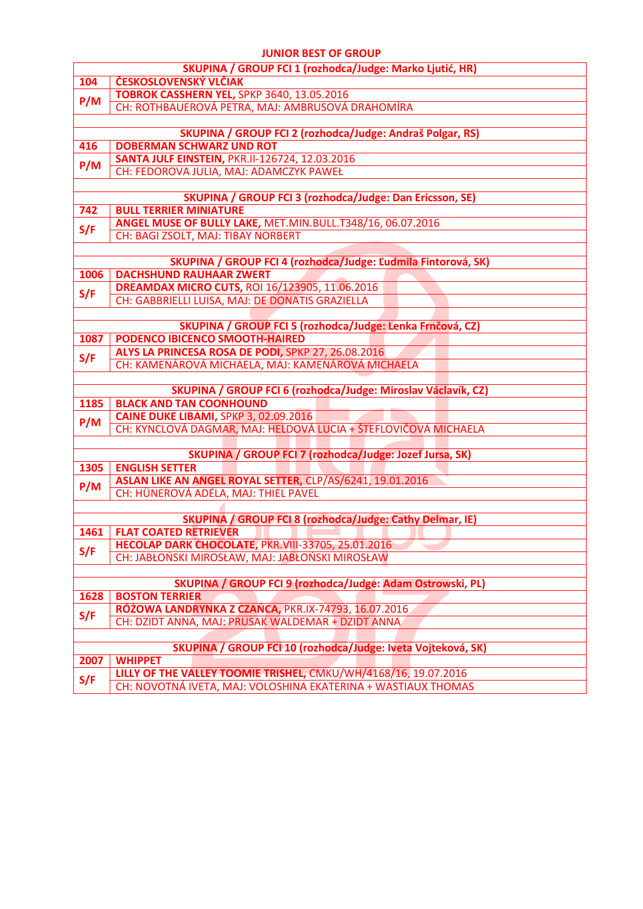#### **JUNIOR BEST OF GROUP**

|                                                              | וטטווט וט ונשווטנ                                                                                       |  |  |  |
|--------------------------------------------------------------|---------------------------------------------------------------------------------------------------------|--|--|--|
|                                                              | SKUPINA / GROUP FCI 1 (rozhodca/Judge: Marko Ljutić, HR)                                                |  |  |  |
| 104                                                          | ČESKOSLOVENSKÝ VLČIAK                                                                                   |  |  |  |
| P/M                                                          | <b>TOBROK CASSHERN YEL, SPKP 3640, 13.05.2016</b>                                                       |  |  |  |
|                                                              | CH: ROTHBAUEROVÁ PETRA, MAJ: AMBRUSOVÁ DRAHOMÍRA                                                        |  |  |  |
|                                                              |                                                                                                         |  |  |  |
|                                                              | SKUPINA / GROUP FCI 2 (rozhodca/Judge: Andraš Polgar, RS)                                               |  |  |  |
| 416                                                          | <b>DOBERMAN SCHWARZ UND ROT</b>                                                                         |  |  |  |
| P/M                                                          | <b>SANTA JULF EINSTEIN, PKR.II-126724, 12.03.2016</b>                                                   |  |  |  |
|                                                              | CH: FEDOROVA JULIA, MAJ: ADAMCZYK PAWEŁ                                                                 |  |  |  |
|                                                              |                                                                                                         |  |  |  |
|                                                              | <b>SKUPINA / GROUP FCI 3 (rozhodca/Judge: Dan Ericsson, SE)</b>                                         |  |  |  |
| 742                                                          | <b>BULL TERRIER MINIATURE</b>                                                                           |  |  |  |
| S/F                                                          | ANGEL MUSE OF BULLY LAKE, MET.MIN.BULL.T348/16, 06.07.2016                                              |  |  |  |
|                                                              | CH: BAGI ZSOLT, MAJ: TIBAY NORBERT                                                                      |  |  |  |
|                                                              |                                                                                                         |  |  |  |
|                                                              | SKUPINA / GROUP FCI 4 (rozhodca/Judge: Ľudmila Fintorová, SK)                                           |  |  |  |
| 1006                                                         | <b>DACHSHUND RAUHAAR ZWERT</b>                                                                          |  |  |  |
| S/F                                                          | <b>DREAMDAX MICRO CUTS, ROI 16/123905, 11.06.2016</b>                                                   |  |  |  |
|                                                              | CH: GABBRIELLI LUISA, MAJ: DE DONATIS GRAZIELLA                                                         |  |  |  |
|                                                              |                                                                                                         |  |  |  |
|                                                              | SKUPINA / GROUP FCI 5 (rozhodca/Judge: Lenka Frnčová, CZ)                                               |  |  |  |
| 1087                                                         | <b>PODENCO IBICENCO SMOOTH-HAIRED</b>                                                                   |  |  |  |
| S/F                                                          | ALYS LA PRINCESA ROSA DE PODI, SPKP 27, 26.08.2016<br>CH: KAMENÁROVÁ MICHAELA, MAJ: KAMENÁROVÁ MICHAELA |  |  |  |
|                                                              |                                                                                                         |  |  |  |
|                                                              | SKUPINA / GROUP FCI 6 (rozhodca/Judge: Miroslav Václavík, CZ)                                           |  |  |  |
| 1185                                                         | <b>BLACK AND TAN COONHOUND</b>                                                                          |  |  |  |
|                                                              | CAINE DUKE LIBAMI, SPKP 3, 02.09.2016                                                                   |  |  |  |
| P/M                                                          | CH: KYNCLOVÁ DAGMAR, MAJ: HELDOVÁ LUCIA + ŠTEFLOVIČOVÁ MICHAELA                                         |  |  |  |
|                                                              |                                                                                                         |  |  |  |
|                                                              | SKUPINA / GROUP FCI 7 (rozhodca/Judge: Jozef Jursa, SK)                                                 |  |  |  |
| 1305                                                         | <b>ENGLISH SETTER</b>                                                                                   |  |  |  |
| P/M                                                          | ASLAN LIKE AN ANGEL ROYAL SETTER, CLP/AS/6241, 19.01.2016                                               |  |  |  |
|                                                              | CH: HÜNEROVÁ ADÉLA, MAJ: THIEL PAVEL                                                                    |  |  |  |
|                                                              |                                                                                                         |  |  |  |
|                                                              | <b>SKUPINA / GROUP FCI 8 (rozhodca/Judge: Cathy Delmar, IE)</b>                                         |  |  |  |
|                                                              | <b>1461   FLAT COATED RETRIEVER</b>                                                                     |  |  |  |
| S/F                                                          | HECOLAP DARK CHOCOLATE, PKR.VIII-33705, 25.01.2016                                                      |  |  |  |
|                                                              | CH: JABŁOŃSKI MIROSŁAW, MAJ: JABŁOŃSKI MIROSŁAW                                                         |  |  |  |
|                                                              |                                                                                                         |  |  |  |
|                                                              | SKUPINA / GROUP FCI 9 (rozhodca/Judge: Adam Ostrowski, PL)                                              |  |  |  |
| 1628                                                         | <b>BOSTON TERRIER</b>                                                                                   |  |  |  |
| S/F                                                          | RÓŻOWA LANDRYNKA Z CZAŃCA, PKR.IX-74793, 16.07.2016                                                     |  |  |  |
|                                                              | CH: DZIDT ANNA, MAJ: PRUSAK WALDEMAR + DZIDT ANNA                                                       |  |  |  |
| SKUPINA / GROUP FCI 10 (rozhodca/Judge: Iveta Vojteková, SK) |                                                                                                         |  |  |  |
| <b>WHIPPET</b>                                               |                                                                                                         |  |  |  |
| 2007<br>S/F                                                  | LILLY OF THE VALLEY TOOMIE TRISHEL, CMKU/WH/4168/16, 19.07.2016                                         |  |  |  |
|                                                              | CH: NOVOTNÁ IVETA, MAJ: VOLOSHINA EKATERINA + WASTIAUX THOMAS                                           |  |  |  |
|                                                              |                                                                                                         |  |  |  |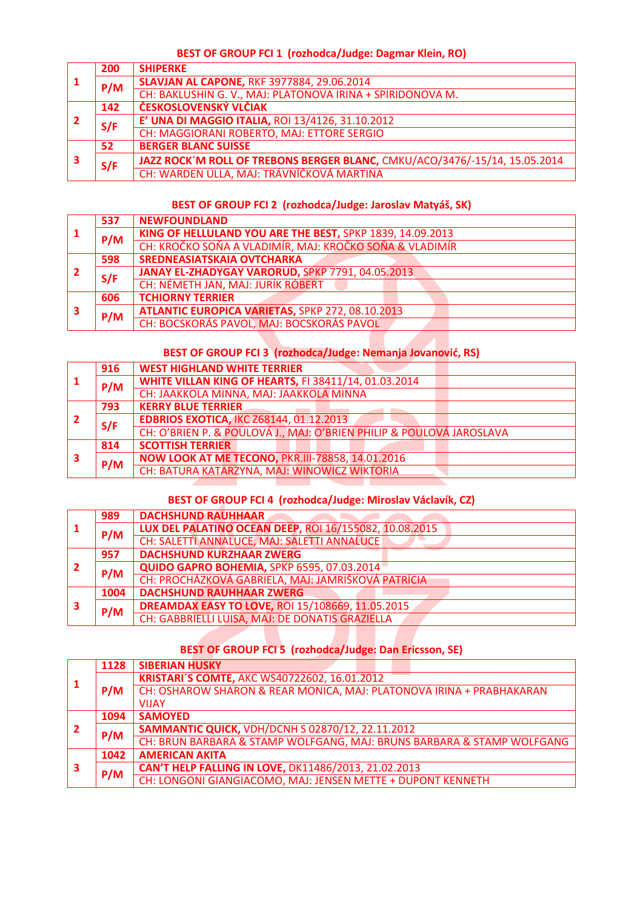#### **BEST OF GROUP FCI 1 (rozhodca/Judge: Dagmar Klein, RO)**

| -1 | 200 | <b>SHIPERKE</b>                                                            |
|----|-----|----------------------------------------------------------------------------|
|    | P/M | <b>SLAVJAN AL CAPONE, RKF 3977884, 29.06.2014</b>                          |
|    |     | CH: BAKLUSHIN G. V., MAJ: PLATONOVA IRINA + SPIRIDONOVA M.                 |
|    | 142 | ČESKOSLOVENSKÝ VLČIAK                                                      |
|    | S/F | E' UNA DI MAGGIO ITALIA, ROI 13/4126, 31.10.2012                           |
|    |     | CH: MAGGIORANI ROBERTO, MAJ: ETTORE SERGIO                                 |
| з  | 52  | <b>BERGER BLANC SUISSE</b>                                                 |
|    | S/F | JAZZ ROCK'M ROLL OF TREBONS BERGER BLANC, CMKU/ACO/3476/-15/14, 15.05.2014 |
|    |     | CH: WARDEN ULLA, MAJ: TRÁVNÍČKOVÁ MARTINA                                  |

#### **BEST OF GROUP FCI 2 (rozhodca/Judge: Jaroslav Matyáš, SK)**

| 1   | 537 | <b>NEWFOUNDLAND</b>                                       |
|-----|-----|-----------------------------------------------------------|
|     | P/M | KING OF HELLULAND YOU ARE THE BEST, SPKP 1839, 14.09.2013 |
|     |     | CH: KROČKO SOŇA A VLADIMÍR, MAJ: KROČKO SOŇA & VLADIMÍR   |
|     | 598 | <b>SREDNEASIATSKAIA OVTCHARKA</b>                         |
| i 2 | S/F | JANAY EL-ZHADYGAY VARORUD, SPKP 7791, 04.05.2013          |
|     |     | CH: NÉMETH JAN, MAJ: JURÍK RÓBERT                         |
| 3   | 606 | <b>TCHIORNY TERRIER</b>                                   |
|     | P/M | <b>ATLANTIC EUROPICA VARIETAS, SPKP 272, 08.10.2013</b>   |
|     |     | CH: BOCSKORÁS PAVOL, MAJ: BOCSKORÁS PAVOL                 |

## **BEST OF GROUP FCI 3 (rozhodca/Judge: Nemanja Jovanović, RS)**

| 916 | <b>WEST HIGHLAND WHITE TERRIER</b>                                   |
|-----|----------------------------------------------------------------------|
| P/M | <b>WHITE VILLAN KING OF HEARTS, FI 38411/14, 01.03.2014</b>          |
|     | CH: JAAKKOLA MINNA, MAJ: JAAKKOLA MINNA                              |
| 793 | <b>KERRY BLUE TERRIER</b>                                            |
| S/F | <b>EDBRIOS EXOTICA, IKC Z68144, 01.12.2013</b>                       |
|     | CH: O'BRIEN P. & POULOVÁ J., MAJ: O'BRIEN PHILIP & POULOVÁ JAROSLAVA |
| 814 | <b>SCOTTISH TERRIER</b>                                              |
| P/M | <b>NOW LOOK AT ME TECONO, PKR.III-78858, 14.01.2016</b>              |
|     | CH: BATURA KATARZYNA, MAJ: WINOWICZ WIKTORIA                         |
|     |                                                                      |

#### **BEST OF GROUP FCI 4 (rozhodca/Judge: Miroslav Václavík, CZ)**

|   | 989  | <b>DACHSHUND RAUHHAAR</b>                               |
|---|------|---------------------------------------------------------|
|   | P/M  | LUX DEL PALATINO OCEAN DEEP, ROI 16/155082, 10.08.2015  |
|   |      | CH: SALETTI ANNALUCE, MAJ: SALETTI ANNALUCE             |
|   | 957  | <b>DACHSHUND KURZHAAR ZWERG</b>                         |
|   | P/M  | QUIDO GAPRO BOHEMIA, SPKP 6595, 07.03.2014              |
|   |      | CH: PROCHÁZKOVÁ GABRIELA, MAJ: JAMRIŠKOVÁ PATRÍCIA      |
|   | 1004 | <b>DACHSHUND RAUHHAAR ZWERG</b>                         |
| 3 | P/M  | <b>DREAMDAX EASY TO LOVE, ROI 15/108669, 11.05.2015</b> |
|   |      | CH: GABBRIELLI LUISA, MAJ: DE DONATIS GRAZIELLA         |

#### **BEST OF GROUP FCI 5 (rozhodca/Judge: Dan Ericsson, SE)**

|   | 1128 | <b>SIBERIAN HUSKY</b>                                                  |
|---|------|------------------------------------------------------------------------|
|   |      | KRISTARI'S COMTE, AKC WS40722602, 16.01.2012                           |
|   | P/M  | CH: OSHAROW SHARON & REAR MONICA, MAJ: PLATONOVA IRINA + PRABHAKARAN   |
|   |      | <b>VIIAY</b>                                                           |
|   | 1094 | <b>SAMOYED</b>                                                         |
| 2 | P/M  | <b>SAMMANTIC QUICK, VDH/DCNH S 02870/12, 22.11.2012</b>                |
|   |      | CH: BRUN BARBARA & STAMP WOLFGANG, MAJ: BRUNS BARBARA & STAMP WOLFGANG |
| 3 | 1042 | <b>AMERICAN AKITA</b>                                                  |
|   | P/M  | CAN'T HELP FALLING IN LOVE, DK11486/2013, 21.02.2013                   |
|   |      | CH: LONGONI GIANGIACOMO, MAJ: JENSEN METTE + DUPONT KENNETH            |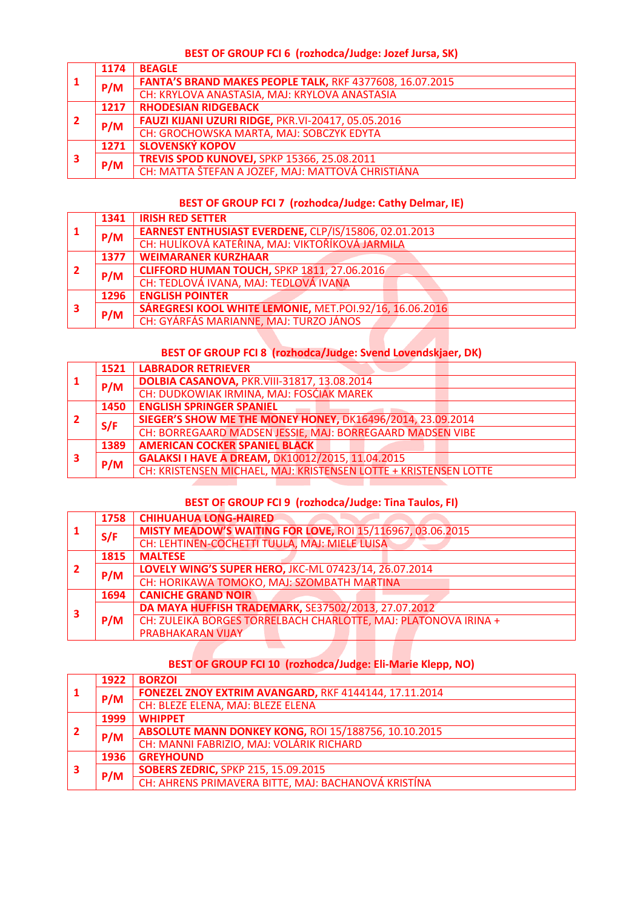#### **BEST OF GROUP FCI 6 (rozhodca/Judge: Jozef Jursa, SK)**

| 1  | 1174 | <b>BEAGLE</b>                                             |
|----|------|-----------------------------------------------------------|
|    | P/M  | FANTA'S BRAND MAKES PEOPLE TALK, RKF 4377608, 16.07.2015  |
|    |      | CH: KRYLOVA ANASTASIA, MAJ: KRYLOVA ANASTASIA             |
|    | 1217 | <b>RHODESIAN RIDGEBACK</b>                                |
| -2 | P/M  | <b>FAUZI KIJANI UZURI RIDGE, PKR.VI-20417, 05.05.2016</b> |
|    |      | CH: GROCHOWSKA MARTA, MAJ: SOBCZYK EDYTA                  |
|    | 1271 | <b>SLOVENSKÝ KOPOV</b>                                    |
| 3  | P/M  | <b>TREVIS SPOD KUNOVEJ, SPKP 15366, 25.08.2011</b>        |
|    |      | CH: MATTA ŠTEFAN A JOZEF, MAJ: MATTOVÁ CHRISTIÁNA         |

## **BEST OF GROUP FCI 7 (rozhodca/Judge: Cathy Delmar, IE)**

|   | 1341 | <b>IRISH RED SETTER</b>                                 |
|---|------|---------------------------------------------------------|
|   | P/M  | EARNEST ENTHUSIAST EVERDENE, CLP/IS/15806, 02.01.2013   |
|   |      | CH: HULÍKOVÁ KATEŘINA, MAJ: VIKTOŘÍKOVÁ JARMILA         |
|   | 1377 | <b>WEIMARANER KURZHAAR</b>                              |
| 2 | P/M  | <b>CLIFFORD HUMAN TOUCH, SPKP 1811, 27.06.2016</b>      |
|   |      | CH: TEDLOVÁ IVANA, MAJ: TEDLOVÁ IVANA                   |
|   | 1296 | <b>ENGLISH POINTER</b>                                  |
| 3 | P/M  | SÁREGRESI KOOL WHITE LEMONIE, MET.POI.92/16, 16.06.2016 |
|   |      | CH: GYÁRFÁS MARIANNE, MAJ: TURZO JÁNOS                  |

## **BEST OF GROUP FCI 8 (rozhodca/Judge: Svend Lovendskjaer, DK)**

| -1         | 1521 | <b>LABRADOR RETRIEVER</b>                                         |
|------------|------|-------------------------------------------------------------------|
|            | P/M  | <b>DOLBIA CASANOVA, PKR.VIII-31817, 13.08.2014</b>                |
|            |      | CH: DUDKOWIAK IRMINA, MAJ: FOSĆIAK MAREK                          |
|            | 1450 | <b>ENGLISH SPRINGER SPANIEL</b>                                   |
| $\sqrt{2}$ | S/F  | <b>SIEGER'S SHOW ME THE MONEY HONEY, DK16496/2014, 23.09.2014</b> |
|            |      | CH: BORREGAARD MADSEN JESSIE, MAJ: BORREGAARD MADSEN VIBE         |
| 3          | 1389 | <b>AMERICAN COCKER SPANIEL BLACK</b>                              |
|            | P/M  | GALAKSI I HAVE A DREAM, DK10012/2015, 11.04.2015                  |
|            |      | CH: KRISTENSEN MICHAEL, MAJ: KRISTENSEN LOTTE + KRISTENSEN LOTTE  |

#### **BEST OF GROUP FCI 9 (rozhodca/Judge: Tina Taulos, FI)**

| -1             | 1758 | <b>CHIHUAHUA LONG-HAIRED</b>                                      |
|----------------|------|-------------------------------------------------------------------|
|                | S/F  | <b>MISTY MEADOW'S WAITING FOR LOVE, ROI 15/116967, 03.06.2015</b> |
|                |      | CH: LEHTINEN-COCHETTI TUULA, MAJ: MIELE LUISA                     |
|                | 1815 | <b>MALTESE</b>                                                    |
| $\overline{2}$ | P/M  | LOVELY WING'S SUPER HERO, JKC-ML 07423/14, 26.07.2014             |
|                |      | CH: HORIKAWA TOMOKO, MAJ: SZOMBATH MARTINA                        |
|                | 1694 | <b>CANICHE GRAND NOIR</b>                                         |
| 3              | P/M  | DA MAYA HUFFISH TRADEMARK, SE37502/2013, 27.07.2012               |
|                |      | CH: ZULEIKA BORGES TORRELBACH CHARLOTTE, MAJ: PLATONOVA IRINA +   |
|                |      | <b>PRABHAKARAN VIJAY</b>                                          |
|                |      |                                                                   |

## **BEST OF GROUP FCI 10 (rozhodca/Judge: Eli-Marie Klepp, NO)**

|   | 1922 | <b>BORZOI</b>                                               |
|---|------|-------------------------------------------------------------|
|   | P/M  | FONEZEL ZNOY EXTRIM AVANGARD, RKF 4144144, 17.11.2014       |
|   |      | CH: BLEZE ELENA, MAJ: BLEZE ELENA                           |
|   | 1999 | <b>WHIPPET</b>                                              |
|   | P/M  | <b>ABSOLUTE MANN DONKEY KONG, ROI 15/188756, 10.10.2015</b> |
|   |      | CH: MANNI FABRIZIO, MAJ: VOLÁRIK RICHARD                    |
|   | 1936 | <b>GREYHOUND</b>                                            |
| 3 | P/M  | <b>SOBERS ZEDRIC, SPKP 215, 15.09.2015</b>                  |
|   |      | CH: AHRENS PRIMAVERA BITTE, MAJ: BACHANOVÁ KRISTÍNA         |